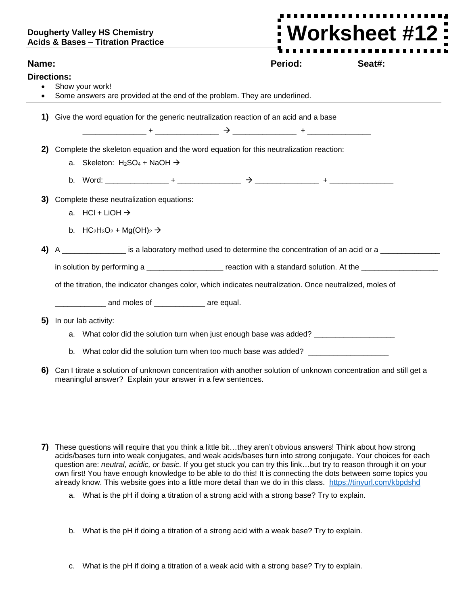## **Dougherty Valley HS Chemistry Acids & Bases – Titration Practice**

**Worksheet #12**Ī

| Name:              | Period:<br>Seat#:                                                                                                   |  |  |  |
|--------------------|---------------------------------------------------------------------------------------------------------------------|--|--|--|
| <b>Directions:</b> |                                                                                                                     |  |  |  |
|                    | Show your work!<br>Some answers are provided at the end of the problem. They are underlined.                        |  |  |  |
|                    |                                                                                                                     |  |  |  |
| 1)                 | Give the word equation for the generic neutralization reaction of an acid and a base                                |  |  |  |
|                    |                                                                                                                     |  |  |  |
| 2)                 | Complete the skeleton equation and the word equation for this neutralization reaction:                              |  |  |  |
|                    | a. Skeleton: $H_2SO_4 + NaOH \rightarrow$                                                                           |  |  |  |
|                    |                                                                                                                     |  |  |  |
| 3)                 | Complete these neutralization equations:                                                                            |  |  |  |
|                    | a. $HCI + LiOH \rightarrow$                                                                                         |  |  |  |
|                    | b. HC <sub>2</sub> H <sub>3</sub> O <sub>2</sub> + Mg(OH) <sub>2</sub> $\rightarrow$                                |  |  |  |
| 4)                 | A _________________ is a laboratory method used to determine the concentration of an acid or a ______________       |  |  |  |
|                    | in solution by performing a _______________________ reaction with a standard solution. At the ________________      |  |  |  |
|                    | of the titration, the indicator changes color, which indicates neutralization. Once neutralized, moles of           |  |  |  |
|                    | and moles of ____________ are equal.                                                                                |  |  |  |
| 5)                 | In our lab activity:                                                                                                |  |  |  |
|                    | a. What color did the solution turn when just enough base was added? __________________                             |  |  |  |
|                    | b. What color did the solution turn when too much base was added? _______________                                   |  |  |  |
|                    | 6) Can I titrate a solution of unknown concentration with another solution of unknown concentration and still get a |  |  |  |

- **7)** These questions will require that you think a little bit…they aren't obvious answers! Think about how strong acids/bases turn into weak conjugates, and weak acids/bases turn into strong conjugate. Your choices for each question are: *neutral, acidic, or basic.* If you get stuck you can try this link…but try to reason through it on your own first! You have enough knowledge to be able to do this! It is connecting the dots between some topics you already know. This website goes into a little more detail than we do in this class. <https://tinyurl.com/kbpdshd>
	- a. What is the pH if doing a titration of a strong acid with a strong base? Try to explain.

meaningful answer? Explain your answer in a few sentences.

- b. What is the pH if doing a titration of a strong acid with a weak base? Try to explain.
- c. What is the pH if doing a titration of a weak acid with a strong base? Try to explain.